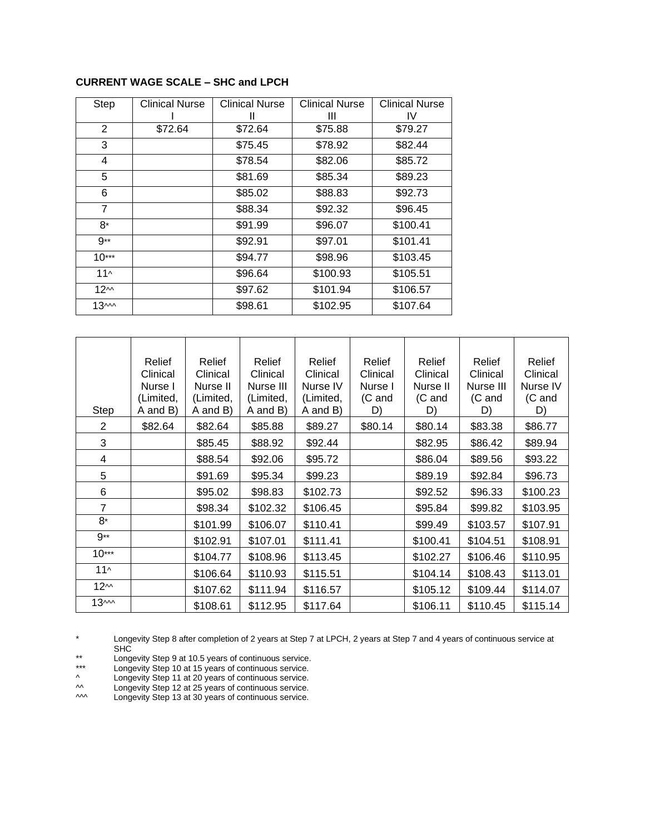# **CURRENT WAGE SCALE – SHC and LPCH**

| <b>Step</b>      | <b>Clinical Nurse</b> | <b>Clinical Nurse</b> | <b>Clinical Nurse</b> | <b>Clinical Nurse</b> |
|------------------|-----------------------|-----------------------|-----------------------|-----------------------|
|                  |                       | Ш                     | Ш                     | IV.                   |
| $\overline{2}$   | \$72.64               | \$72.64               | \$75.88               | \$79.27               |
| 3                |                       | \$75.45               | \$78.92               | \$82.44               |
| 4                |                       | \$78.54               | \$82.06               | \$85.72               |
| 5                |                       | \$81.69               | \$85.34               | \$89.23               |
| 6                |                       | \$85.02               | \$88.83               | \$92.73               |
| $\overline{7}$   |                       | \$88.34               | \$92.32               | \$96.45               |
| 8*               |                       | \$91.99               | \$96.07               | \$100.41              |
| 9**              |                       | \$92.91               | \$97.01               | \$101.41              |
| $10***$          |                       | \$94.77               | \$98.96               | \$103.45              |
| $11^$            |                       | \$96.64               | \$100.93              | \$105.51              |
| 12 <sup>M</sup>  |                       | \$97.62               | \$101.94              | \$106.57              |
| 13 <sub>mm</sub> |                       | \$98.61               | \$102.95              | \$107.64              |

| Step             | Relief<br>Clinical<br>Nurse I<br>(Limited,<br>A and B) | Relief<br>Clinical<br>Nurse II<br>(Limited,<br>A and B) | Relief<br>Clinical<br>Nurse III<br>(Limited,<br>A and B) | Relief<br>Clinical<br>Nurse IV<br>(Limited,<br>A and B) | Relief<br>Clinical<br>Nurse I<br>(C and<br>D) | Relief<br>Clinical<br>Nurse II<br>(C and<br>D) | Relief<br>Clinical<br>Nurse III<br>(C and<br>D) | Relief<br>Clinical<br>Nurse IV<br>(C and<br>D) |
|------------------|--------------------------------------------------------|---------------------------------------------------------|----------------------------------------------------------|---------------------------------------------------------|-----------------------------------------------|------------------------------------------------|-------------------------------------------------|------------------------------------------------|
| 2                | \$82.64                                                | \$82.64                                                 | \$85.88                                                  | \$89.27                                                 | \$80.14                                       | \$80.14                                        | \$83.38                                         | \$86.77                                        |
| 3                |                                                        | \$85.45                                                 | \$88.92                                                  | \$92.44                                                 |                                               | \$82.95                                        | \$86.42                                         | \$89.94                                        |
| 4                |                                                        | \$88.54                                                 | \$92.06                                                  | \$95.72                                                 |                                               | \$86.04                                        | \$89.56                                         | \$93.22                                        |
| 5                |                                                        | \$91.69                                                 | \$95.34                                                  | \$99.23                                                 |                                               | \$89.19                                        | \$92.84                                         | \$96.73                                        |
| 6                |                                                        | \$95.02                                                 | \$98.83                                                  | \$102.73                                                |                                               | \$92.52                                        | \$96.33                                         | \$100.23                                       |
| $\overline{7}$   |                                                        | \$98.34                                                 | \$102.32                                                 | \$106.45                                                |                                               | \$95.84                                        | \$99.82                                         | \$103.95                                       |
| 8*               |                                                        | \$101.99                                                | \$106.07                                                 | \$110.41                                                |                                               | \$99.49                                        | \$103.57                                        | \$107.91                                       |
| $9**$            |                                                        | \$102.91                                                | \$107.01                                                 | \$111.41                                                |                                               | \$100.41                                       | \$104.51                                        | \$108.91                                       |
| $10***$          |                                                        | \$104.77                                                | \$108.96                                                 | \$113.45                                                |                                               | \$102.27                                       | \$106.46                                        | \$110.95                                       |
| $11^$            |                                                        | \$106.64                                                | \$110.93                                                 | \$115.51                                                |                                               | \$104.14                                       | \$108.43                                        | \$113.01                                       |
| 12 <sup>m</sup>  |                                                        | \$107.62                                                | \$111.94                                                 | \$116.57                                                |                                               | \$105.12                                       | \$109.44                                        | \$114.07                                       |
| 13 <sub>mm</sub> |                                                        | \$108.61                                                | \$112.95                                                 | \$117.64                                                |                                               | \$106.11                                       | \$110.45                                        | \$115.14                                       |

\* Longevity Step 8 after completion of 2 years at Step 7 at LPCH, 2 years at Step 7 and 4 years of continuous service at SHC

\*\* Longevity Step 9 at 10.5 years of continuous service.

\*\*\* Longevity Step 10 at 15 years of continuous service.

^ Longevity Step 11 at 20 years of continuous service.

^^ Longevity Step 12 at 25 years of continuous service.

^^^ Longevity Step 13 at 30 years of continuous service.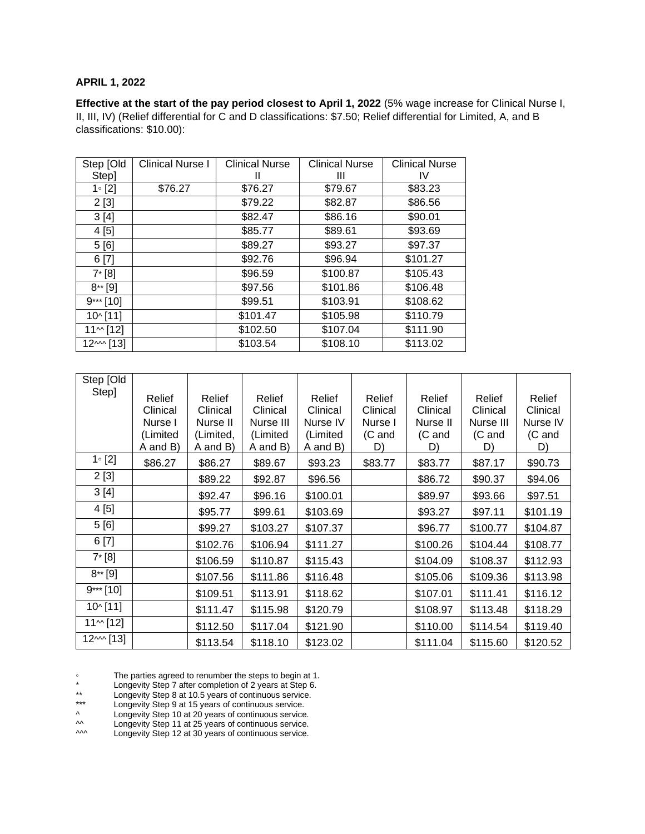## **APRIL 1, 2022**

**Effective at the start of the pay period closest to April 1, 2022** (5% wage increase for Clinical Nurse I, II, III, IV) (Relief differential for C and D classifications: \$7.50; Relief differential for Limited, A, and B classifications: \$10.00):

| Step [Old      | <b>Clinical Nurse I</b> | <b>Clinical Nurse</b> | <b>Clinical Nurse</b> | <b>Clinical Nurse</b> |
|----------------|-------------------------|-----------------------|-----------------------|-----------------------|
| Step]          |                         | н                     | Ш                     | IV                    |
| $1 \circ [2]$  | \$76.27                 | \$76.27               | \$79.67               | \$83.23               |
| 2[3]           |                         | \$79.22               | \$82.87               | \$86.56               |
| 3[4]           |                         | \$82.47               | \$86.16               | \$90.01               |
| 4[5]           |                         | \$85.77               | \$89.61               | \$93.69               |
| 5[6]           |                         | \$89.27               | \$93.27               | \$97.37               |
| 6[7]           |                         | \$92.76               | \$96.94               | \$101.27              |
| $7^*$ [8]      |                         | \$96.59               | \$100.87              | \$105.43              |
| $8**$ [9]      |                         | \$97.56               | \$101.86              | \$106.48              |
| $9***$ [10]    |                         | \$99.51               | \$103.91              | \$108.62              |
| 10^ [11]       |                         | \$101.47              | \$105.98              | \$110.79              |
| $11 \sim$ [12] |                         | \$102.50              | \$107.04              | \$111.90              |
| $12^{M}$ [13]  |                         | \$103.54              | \$108.10              | \$113.02              |

| Step [Old      |                    |                    |                    |                    |                    |                    |                    |                    |
|----------------|--------------------|--------------------|--------------------|--------------------|--------------------|--------------------|--------------------|--------------------|
| Step]          | Relief<br>Clinical | Relief<br>Clinical | Relief<br>Clinical | Relief<br>Clinical | Relief<br>Clinical | Relief<br>Clinical | Relief<br>Clinical | Relief<br>Clinical |
|                | Nurse I            | Nurse II           | Nurse III          | Nurse IV           | Nurse I            | Nurse II           | Nurse III          | Nurse IV           |
|                | (Limited           | (Limited,          | (Limited           | (Limited           | (C and             | (C and             | (C and             | (C and             |
|                | A and B)           | A and B)           | A and B)           | A and B)           | D)                 | D)                 | D)                 | D)                 |
| $1 \circ [2]$  | \$86.27            | \$86.27            | \$89.67            | \$93.23            | \$83.77            | \$83.77            | \$87.17            | \$90.73            |
| 2[3]           |                    | \$89.22            | \$92.87            | \$96.56            |                    | \$86.72            | \$90.37            | \$94.06            |
| 3[4]           |                    | \$92.47            | \$96.16            | \$100.01           |                    | \$89.97            | \$93.66            | \$97.51            |
| 4 [5]          |                    | \$95.77            | \$99.61            | \$103.69           |                    | \$93.27            | \$97.11            | \$101.19           |
| 5[6]           |                    | \$99.27            | \$103.27           | \$107.37           |                    | \$96.77            | \$100.77           | \$104.87           |
| 6[7]           |                    | \$102.76           | \$106.94           | \$111.27           |                    | \$100.26           | \$104.44           | \$108.77           |
| $7* [8]$       |                    | \$106.59           | \$110.87           | \$115.43           |                    | \$104.09           | \$108.37           | \$112.93           |
| $8**$ [9]      |                    | \$107.56           | \$111.86           | \$116.48           |                    | \$105.06           | \$109.36           | \$113.98           |
| $9***$ [10]    |                    | \$109.51           | \$113.91           | \$118.62           |                    | \$107.01           | \$111.41           | \$116.12           |
| $10^{6}$ [11]  |                    | \$111.47           | \$115.98           | \$120.79           |                    | \$108.97           | \$113.48           | \$118.29           |
| $11 \sim [12]$ |                    | \$112.50           | \$117.04           | \$121.90           |                    | \$110.00           | \$114.54           | \$119.40           |
| $12^{M}$ [13]  |                    | \$113.54           | \$118.10           | \$123.02           |                    | \$111.04           | \$115.60           | \$120.52           |

◦ The parties agreed to renumber the steps to begin at 1.

\* Longevity Step 7 after completion of 2 years at Step 6.

\*\* Longevity Step 8 at 10.5 years of continuous service.

\*\*\* Longevity Step 9 at 15 years of continuous service.<br>
A Longevity Step 9 at 15 years of continuous service.

^ Longevity Step 10 at 20 years of continuous service.<br>
M Longevity Step 11 at 25 years of continuous service.

<sup>2</sup> Longevity Step 11 at 25 years of continuous service.<br>
2 A Longevity Step 12 at 30 years of continuous service.

Longevity Step 12 at 30 years of continuous service.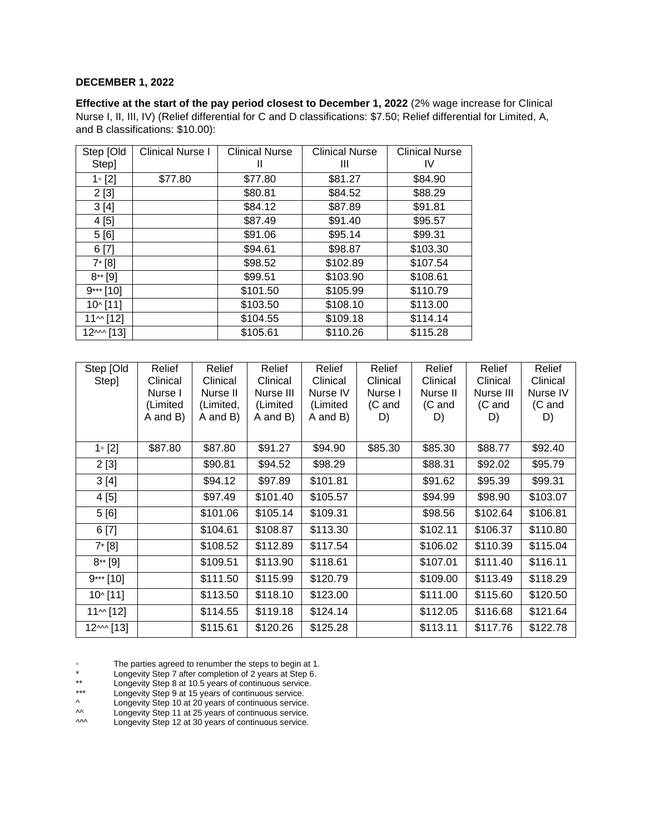#### **DECEMBER 1, 2022**

**Effective at the start of the pay period closest to December 1, 2022** (2% wage increase for Clinical Nurse I, II, III, IV) (Relief differential for C and D classifications: \$7.50; Relief differential for Limited, A, and B classifications: \$10.00):

| Step [Old      | <b>Clinical Nurse I</b> | <b>Clinical Nurse</b> | <b>Clinical Nurse</b> | <b>Clinical Nurse</b> |
|----------------|-------------------------|-----------------------|-----------------------|-----------------------|
| Step]          |                         | Ш                     | Ш                     | IV                    |
| $1 \circ [2]$  | \$77.80                 | \$77.80               | \$81.27               | \$84.90               |
| 2[3]           |                         | \$80.81               | \$84.52               | \$88.29               |
| 3[4]           |                         | \$84.12               | \$87.89               | \$91.81               |
| 4[5]           |                         | \$87.49               | \$91.40               | \$95.57               |
| 5 [6]          |                         | \$91.06               | \$95.14               | \$99.31               |
| 6[7]           |                         | \$94.61               | \$98.87               | \$103.30              |
| $7* [8]$       |                         | \$98.52               | \$102.89              | \$107.54              |
| $8**$ [9]      |                         | \$99.51               | \$103.90              | \$108.61              |
| $9***$ [10]    |                         | \$101.50              | \$105.99              | \$110.79              |
| 10^ [11]       |                         | \$103.50              | \$108.10              | \$113.00              |
| $11 \sim$ [12] |                         | \$104.55              | \$109.18              | \$114.14              |
| $12^{M}$ [13]  |                         | \$105.61              | \$110.26              | \$115.28              |

| Step [Old<br>Step] | Relief<br>Clinical<br>Nurse I<br>(Limited<br>A and B) | Relief<br>Clinical<br>Nurse II<br>(Limited,<br>A and B) | Relief<br>Clinical<br>Nurse III<br>(Limited<br>A and B) | Relief<br>Clinical<br>Nurse IV<br>(Limited<br>A and B) | Relief<br>Clinical<br>Nurse I<br>(C and<br>D) | Relief<br>Clinical<br>Nurse II<br>(C and<br>D) | Relief<br>Clinical<br>Nurse III<br>(C and<br>D) | Relief<br>Clinical<br>Nurse IV<br>(C and<br>D) |
|--------------------|-------------------------------------------------------|---------------------------------------------------------|---------------------------------------------------------|--------------------------------------------------------|-----------------------------------------------|------------------------------------------------|-------------------------------------------------|------------------------------------------------|
| $1 \circ [2]$      | \$87.80                                               | \$87.80                                                 | \$91.27                                                 | \$94.90                                                | \$85.30                                       | \$85.30                                        | \$88.77                                         | \$92.40                                        |
| 2[3]               |                                                       | \$90.81                                                 | \$94.52                                                 | \$98.29                                                |                                               | \$88.31                                        | \$92.02                                         | \$95.79                                        |
| 3[4]               |                                                       | \$94.12                                                 | \$97.89                                                 | \$101.81                                               |                                               | \$91.62                                        | \$95.39                                         | \$99.31                                        |
| 4[5]               |                                                       | \$97.49                                                 | \$101.40                                                | \$105.57                                               |                                               | \$94.99                                        | \$98.90                                         | \$103.07                                       |
| 5[6]               |                                                       | \$101.06                                                | \$105.14                                                | \$109.31                                               |                                               | \$98.56                                        | \$102.64                                        | \$106.81                                       |
| 6[7]               |                                                       | \$104.61                                                | \$108.87                                                | \$113.30                                               |                                               | \$102.11                                       | \$106.37                                        | \$110.80                                       |
| $7* [8]$           |                                                       | \$108.52                                                | \$112.89                                                | \$117.54                                               |                                               | \$106.02                                       | \$110.39                                        | \$115.04                                       |
| $8**$ [9]          |                                                       | \$109.51                                                | \$113.90                                                | \$118.61                                               |                                               | \$107.01                                       | \$111.40                                        | \$116.11                                       |
| $9***$ [10]        |                                                       | \$111.50                                                | \$115.99                                                | \$120.79                                               |                                               | \$109.00                                       | \$113.49                                        | \$118.29                                       |
| $10^{6}$ [11]      |                                                       | \$113.50                                                | \$118.10                                                | \$123.00                                               |                                               | \$111.00                                       | \$115.60                                        | \$120.50                                       |
| $11 \sim [12]$     |                                                       | \$114.55                                                | \$119.18                                                | \$124.14                                               |                                               | \$112.05                                       | \$116.68                                        | \$121.64                                       |
| $12^{M}$ [13]      |                                                       | \$115.61                                                | \$120.26                                                | \$125.28                                               |                                               | \$113.11                                       | \$117.76                                        | \$122.78                                       |

◦ The parties agreed to renumber the steps to begin at 1.

- \* Longevity Step 7 after completion of 2 years at Step 6.
- \*\* Longevity Step 8 at 10.5 years of continuous service.
- \*\*\* Longevity Step 9 at 15 years of continuous service.<br>  $\wedge$  Longevity Step 9 at 15 years of continuous service.

^ Longevity Step 10 at 20 years of continuous service.<br>
M Longevity Step 11 at 25 years of continuous service.

^^ Longevity Step 11 at 25 years of continuous service.

^^^ Longevity Step 12 at 30 years of continuous service.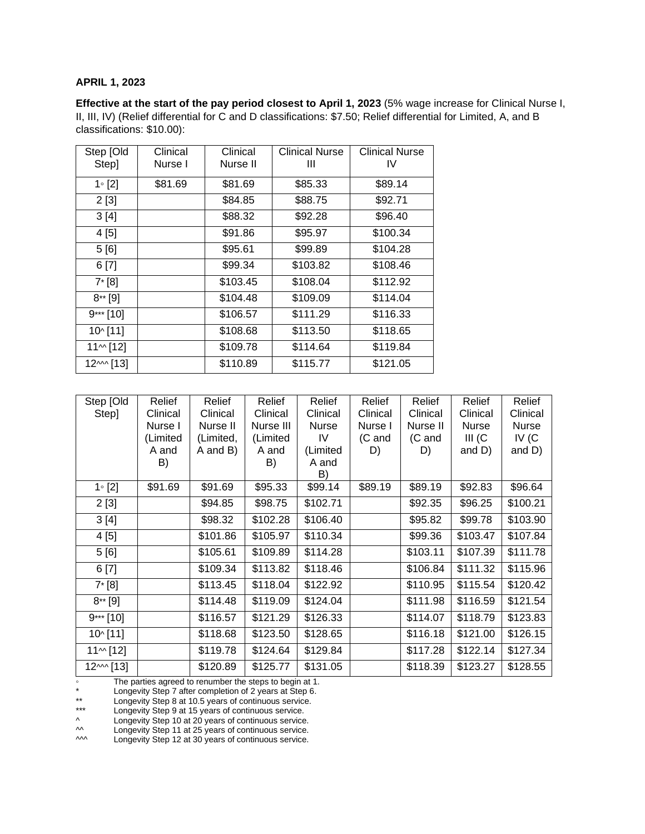## **APRIL 1, 2023**

**Effective at the start of the pay period closest to April 1, 2023** (5% wage increase for Clinical Nurse I, II, III, IV) (Relief differential for C and D classifications: \$7.50; Relief differential for Limited, A, and B classifications: \$10.00):

| Step [Old<br>Step] | Clinical<br>Nurse I | Clinical<br>Nurse II | <b>Clinical Nurse</b><br>Ш | <b>Clinical Nurse</b><br>IV |
|--------------------|---------------------|----------------------|----------------------------|-----------------------------|
| $1 \circ [2]$      | \$81.69             | \$81.69              | \$85.33                    | \$89.14                     |
| 2[3]               |                     | \$84.85              | \$88.75                    | \$92.71                     |
| 3[4]               |                     | \$88.32              | \$92.28                    | \$96.40                     |
| 4 [5]              |                     | \$91.86              | \$95.97                    | \$100.34                    |
| 5 [6]              |                     | \$95.61              | \$99.89                    | \$104.28                    |
| 6 [7]              |                     | \$99.34              | \$103.82                   | \$108.46                    |
| $7* [8]$           |                     | \$103.45             | \$108.04                   | \$112.92                    |
| $8**$ [9]          |                     | \$104.48             | \$109.09                   | \$114.04                    |
| $9***$ [10]        |                     | \$106.57             | \$111.29                   | \$116.33                    |
| 10^ [11]           |                     | \$108.68             | \$113.50                   | \$118.65                    |
| $11^{M}$ [12]      |                     | \$109.78             | \$114.64                   | \$119.84                    |
| $12^{M}$ [13]      |                     | \$110.89             | \$115.77                   | \$121.05                    |

| Step [Old      | Relief   | Relief    | Relief    | Relief       | Relief   | Relief   | Relief       | Relief       |
|----------------|----------|-----------|-----------|--------------|----------|----------|--------------|--------------|
| Step]          | Clinical | Clinical  | Clinical  | Clinical     | Clinical | Clinical | Clinical     | Clinical     |
|                | Nurse I  | Nurse II  | Nurse III | <b>Nurse</b> | Nurse I  | Nurse II | <b>Nurse</b> | <b>Nurse</b> |
|                | (Limited | (Limited, | (Limited  | IV           | (C and   | (C and   | $III$ (C     | IV $(C)$     |
|                | A and    | A and B)  | A and     | (Limited     | D)       | D)       | and D)       | and D)       |
|                | B)       |           | B)        | A and        |          |          |              |              |
|                |          |           |           | B)           |          |          |              |              |
| $1 \circ [2]$  | \$91.69  | \$91.69   | \$95.33   | \$99.14      | \$89.19  | \$89.19  | \$92.83      | \$96.64      |
| 2[3]           |          | \$94.85   | \$98.75   | \$102.71     |          | \$92.35  | \$96.25      | \$100.21     |
| 3[4]           |          | \$98.32   | \$102.28  | \$106.40     |          | \$95.82  | \$99.78      | \$103.90     |
| 4[5]           |          | \$101.86  | \$105.97  | \$110.34     |          | \$99.36  | \$103.47     | \$107.84     |
| 5[6]           |          | \$105.61  | \$109.89  | \$114.28     |          | \$103.11 | \$107.39     | \$111.78     |
| 6[7]           |          | \$109.34  | \$113.82  | \$118.46     |          | \$106.84 | \$111.32     | \$115.96     |
| $7* [8]$       |          | \$113.45  | \$118.04  | \$122.92     |          | \$110.95 | \$115.54     | \$120.42     |
| $8**$ [9]      |          | \$114.48  | \$119.09  | \$124.04     |          | \$111.98 | \$116.59     | \$121.54     |
| $9***$ [10]    |          | \$116.57  | \$121.29  | \$126.33     |          | \$114.07 | \$118.79     | \$123.83     |
| $10^{6}$ [11]  |          | \$118.68  | \$123.50  | \$128.65     |          | \$116.18 | \$121.00     | \$126.15     |
| $11 \sim$ [12] |          | \$119.78  | \$124.64  | \$129.84     |          | \$117.28 | \$122.14     | \$127.34     |
| $12^{M}$ [13]  |          | \$120.89  | \$125.77  | \$131.05     |          | \$118.39 | \$123.27     | \$128.55     |

◦ The parties agreed to renumber the steps to begin at 1.

\* Longevity Step 7 after completion of 2 years at Step 6.

\*\* Longevity Step 8 at 10.5 years of continuous service.

\*\*\* Longevity Step 9 at 15 years of continuous service.

^ Longevity Step 10 at 20 years of continuous service.

^^ Longevity Step 11 at 25 years of continuous service.

^^^ Longevity Step 12 at 30 years of continuous service.